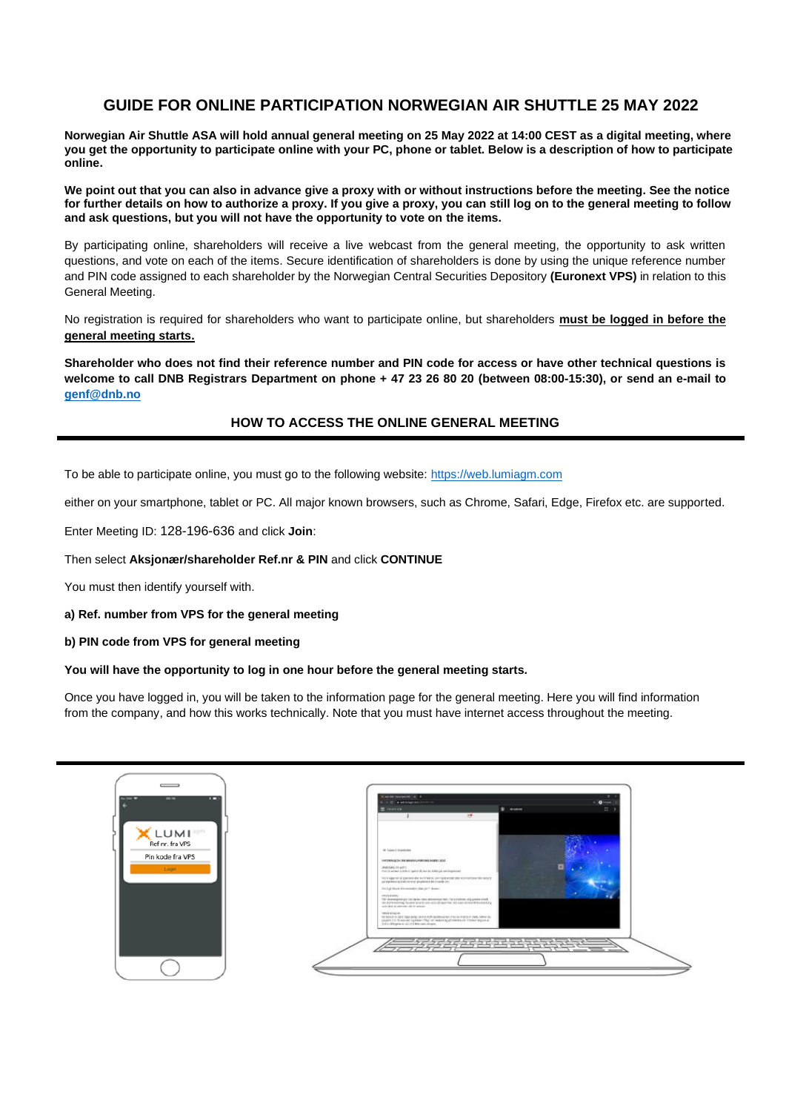# **GUIDE FOR ONLINE PARTICIPATION NORWEGIAN AIR SHUTTLE 25 MAY 2022**

**Norwegian Air Shuttle ASA will hold annual general meeting on 25 May 2022 at 14:00 CEST as a digital meeting, where you get the opportunity to participate online with your PC, phone or tablet. Below is a description of how to participate online.**

**We point out that you can also in advance give a proxy with or without instructions before the meeting. See the notice for further details on how to authorize a proxy. If you give a proxy, you can still log on to the general meeting to follow and ask questions, but you will not have the opportunity to vote on the items.**

By participating online, shareholders will receive a live webcast from the general meeting, the opportunity to ask written questions, and vote on each of the items. Secure identification of shareholders is done by using the unique reference number and PIN code assigned to each shareholder by the Norwegian Central Securities Depository **(Euronext VPS)** in relation to this General Meeting.

No registration is required for shareholders who want to participate online, but shareholders **must be logged in before the general meeting starts.**

**Shareholder who does not find their reference number and PIN code for access or have other technical questions is welcome to call DNB Registrars Department on phone + 47 23 26 80 20 (between 08:00-15:30), or send an e-mail to [genf@dnb.no](mailto:genf@dnb.no)**

## **HOW TO ACCESS THE ONLINE GENERAL MEETING**

To be able to participate online, you must go to the following website: [https://web.lumiagm.com](https://web.lumiagm.com/)

either on your smartphone, tablet or PC. All major known browsers, such as Chrome, Safari, Edge, Firefox etc. are supported.

Enter Meeting ID: 128-196-636 and click **Join**:

#### Then select **Aksjonær/shareholder Ref.nr & PIN** and click **CONTINUE**

You must then identify yourself with.

#### **a) Ref. number from VPS for the general meeting**

### **b) PIN code from VPS for general meeting**

### **You will have the opportunity to log in one hour before the general meeting starts.**

Once you have logged in, you will be taken to the information page for the general meeting. Here you will find information from the company, and how this works technically. Note that you must have internet access throughout the meeting.

| $-104$<br>ш<br>$-$                           | It was not concern that I all 14<br>6. A.D. & advertisements<br><b>O</b> more<br>(b) around<br>12.<br>E-mones<br>18                                                                                                                                                                                                                                                                                                                                                                                                                                                                                                   |
|----------------------------------------------|-----------------------------------------------------------------------------------------------------------------------------------------------------------------------------------------------------------------------------------------------------------------------------------------------------------------------------------------------------------------------------------------------------------------------------------------------------------------------------------------------------------------------------------------------------------------------------------------------------------------------|
| Ref nr. fra VPS<br>Pin kode fra VPS<br>Login | de' luxes of telephone<br>PHONEMADOR/ON MINIMALPORTANILAGER (2020)<br>в<br>WASHERLMARTS<br>. In this permanent is the intropolate with a site of the laborate construction and<br>THE ENGINEERING WAS ARRESTED FOR MAINTENT BACKWARD AND MOVE.<br>på sigestore og tida av er er på gritteret kar i sørde 201<br>The Lighthairs discussionly only of P. Books<br><b>HEALANNA</b><br>This deterministration list lights rates demonstration for 2 shallow, why gambe extend.<br>This promotioning has been analog consules of openings, but want in handlink countring<br>worshe a second their source<br>Hield shipper |
|                                              | The boost will want capacity to entry extensions are positive at factor in reds. Known dy.<br>paying the Woodran's galaxies this' on restored physicians on the largest as<br>And a collision was called a line contribution.<br>with the control of                                                                                                                                                                                                                                                                                                                                                                  |